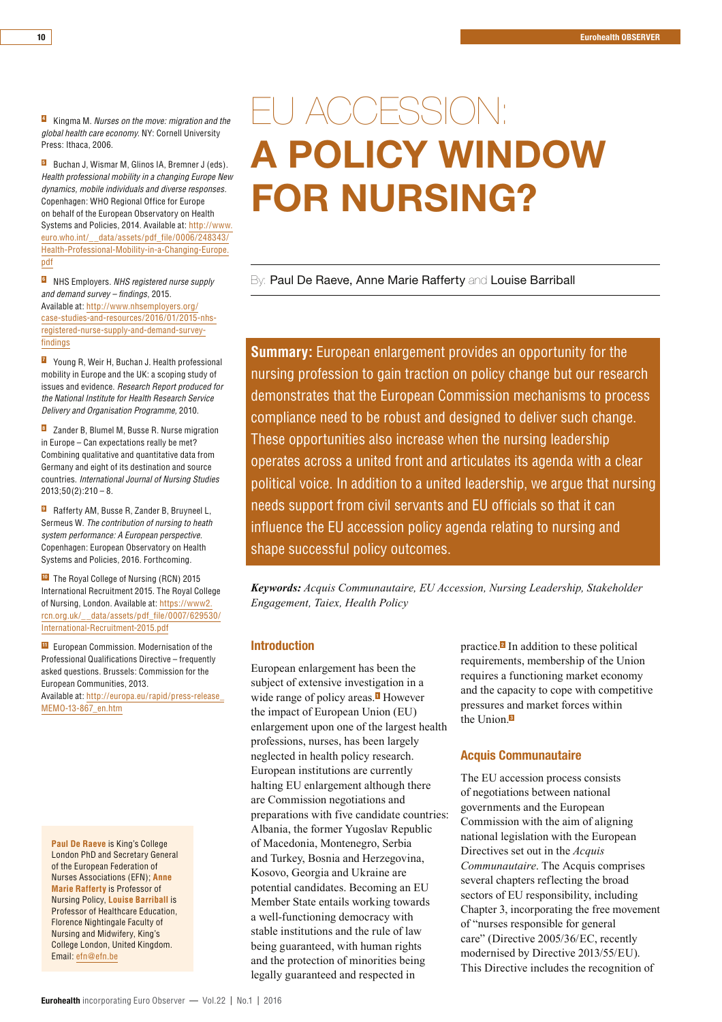**Kingma M. Nurses on the move: migration and the** global health care economy. NY: Cornell University Press: Ithaca, 2006.

**B** Buchan J, Wismar M, Glinos IA, Bremner J (eds). Health professional mobility in a changing Europe New dynamics, mobile individuals and diverse responses. Copenhagen: WHO Regional Office for Europe on behalf of the European Observatory on Health Systems and Policies, 2014. Available at: http://www. euro.who.int/\_\_data/assets/pdf\_file/0006/248343/ Health-Professional-Mobility-in-a-Changing-Europe. pdf

**B** NHS Employers. NHS registered nurse supply and demand survey – findings, 2015. Available at: http://www.nhsemployers.org/ case-studies-and-resources/2016/01/2015-nhsregistered-nurse-supply-and-demand-surveyfindings

**Z** Young R, Weir H, Buchan J. Health professional mobility in Europe and the UK: a scoping study of issues and evidence. Research Report produced for the National Institute for Health Research Service Delivery and Organisation Programme, 2010.

**B** Zander B, Blumel M, Busse R. Nurse migration in Europe – Can expectations really be met? Combining qualitative and quantitative data from Germany and eight of its destination and source countries. International Journal of Nursing Studies  $2013:50(2):210 - 8.$ 

**<sup>8</sup>** Rafferty AM, Busse R, Zander B, Bruyneel L, Sermeus W. The contribution of nursing to heath system performance: A European perspective. Copenhagen: European Observatory on Health Systems and Policies, 2016. Forthcoming.

**TO** The Royal College of Nursing (RCN) 2015 International Recruitment 2015. The Royal College of Nursing, London. Available at: https://www2. rcn.org.uk/\_\_data/assets/pdf\_file/0007/629530/ International-Recruitment-2015.pdf

**EU** European Commission. Modernisation of the Professional Qualifications Directive – frequently asked questions. Brussels: Commission for the European Communities, 2013. Available at: http://europa.eu/rapid/press-release\_ MEMO-13-867\_en.htm

**Paul De Raeve** is King's College London PhD and Secretary General of the European Federation of Nurses Associations (EFN); **Anne Marie Rafferty** is Professor of Nursing Policy, **Louise Barriball** is Professor of Healthcare Education, Florence Nightingale Faculty of Nursing and Midwifery, King's College London, United Kingdom. Email: efn@efn.be

### FU ACCESSION: A POLICY WINDOW FOR NURSING?

By: Paul De Raeve, Anne Marie Rafferty and Louise Barriball

**Summary:** European enlargement provides an opportunity for the nursing profession to gain traction on policy change but our research demonstrates that the European Commission mechanisms to process compliance need to be robust and designed to deliver such change. These opportunities also increase when the nursing leadership operates across a united front and articulates its agenda with a clear political voice. In addition to a united leadership, we argue that nursing needs support from civil servants and EU officials so that it can influence the EU accession policy agenda relating to nursing and shape successful policy outcomes.

*Keywords: Acquis Communautaire, EU Accession, Nursing Leadership, Stakeholder Engagement, Taiex, Health Policy* 

#### **Introduction**

European enlargement has been the subject of extensive investigation in a wide range of policy areas. $\blacksquare$  However the impact of European Union (EU) enlargement upon one of the largest health professions, nurses, has been largely neglected in health policy research. European institutions are currently halting EU enlargement although there are Commission negotiations and preparations with five candidate countries: Albania, the former Yugoslav Republic of Macedonia, Montenegro, Serbia and Turkey, Bosnia and Herzegovina. Kosovo, Georgia and Ukraine are potential candidates. Becoming an EU Member State entails working towards a well-functioning democracy with stable institutions and the rule of law being guaranteed, with human rights and the protection of minorities being legally guaranteed and respected in

practice. $\blacksquare$  In addition to these political requirements, membership of the Union requires a functioning market economy and the capacity to cope with competitive pressures and market forces within the Union.<sup>8</sup>

#### **Acquis Communautaire**

The EU accession process consists of negotiations between national governments and the European Commission with the aim of aligning national legislation with the European Directives set out in the *Acquis Communautaire.* The Acquis comprises several chapters reflecting the broad sectors of EU responsibility, including Chapter 3, incorporating the free movement of "nurses responsible for general care" (Directive 2005/36/EC, recently modernised by Directive 2013/55/EU). This Directive includes the recognition of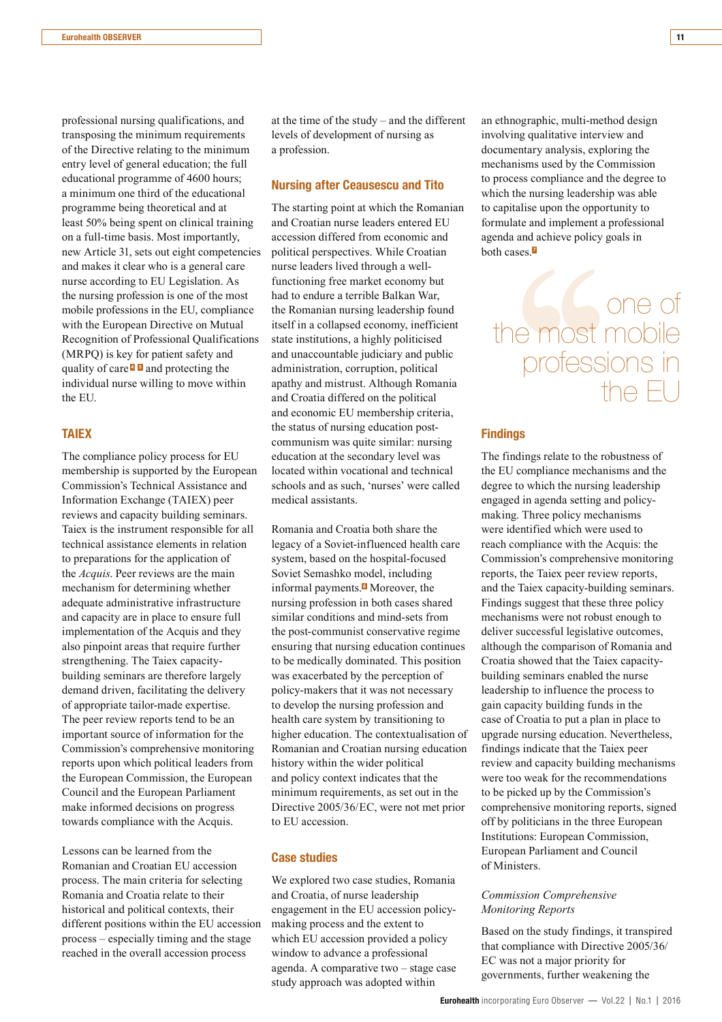professional nursing qualifications, and transposing the minimum requirements of the Directive relating to the minimum entry level of general education; the full educational programme of 4600 hours; a minimum one third of the educational programme being theoretical and at least 50% being spent on clinical training on a full-time basis. Most importantly, new Article 31, sets out eight competencies and makes it clear who is a general care nurse according to EU Legislation. As the nursing profession is one of the most mobile professions in the EU, compliance with the European Directive on Mutual Recognition of Professional Qualifications  $(MRPO)$  is key for patient safety and quality of care<sup> $\Box$ </sup>  $\Box$  and protecting the individual nurse willing to move within the EU

#### **TAIEX**

The compliance policy process for EU membership is supported by the European Commission's Technical Assistance and Information Exchange (TAIEX) peer reviews and capacity building seminars. Taiex is the instrument responsible for all technical assistance elements in relation to preparations for the application of the *Acquis*. Peer reviews are the main mechanism for determining whether adequate administrative infrastructure and capacity are in place to ensure full implementation of the Acquis and they also pinpoint areas that require further strengthening. The Taiex capacitybuilding seminars are therefore largely demand driven, facilitating the delivery of appropriate tailor-made expertise. The peer review reports tend to be an important source of information for the Commission's comprehensive monitoring reports upon which political leaders from the European Commission, the European Council and the European Parliament make informed decisions on progress towards compliance with the Acquis.

Lessons can be learned from the Romanian and Croatian EU accession process. The main criteria for selecting Romania and Croatia relate to their historical and political contexts, their different positions within the EU accession process – especially timing and the stage reached in the overall accession process

at the time of the study  $-$  and the different levels of development of nursing as a profession.

#### **Nursing after Ceausescu and Tito**

The starting point at which the Romanian and Croatian nurse leaders entered EU accession differed from economic and political perspectives. While Croatian nurse leaders lived through a wellfunctioning free market economy but had to endure a terrible Balkan War, the Romanian nursing leadership found itself in a collapsed economy, inefficient state institutions, a highly politicised and unaccountable judiciary and public administration, corruption, political apathy and mistrust. Although Romania and Croatia differed on the political and economic EU membership criteria, the status of nursing education postcommunism was quite similar: nursing education at the secondary level was located within vocational and technical schools and as such, 'nurses' were called medical assistants.

Romania and Croatia both share the legacy of a Soviet-influenced health care system, based on the hospital-focused Soviet Semashko model, including informal payments. $\blacksquare$  Moreover, the nursing profession in both cases shared similar conditions and mind-sets from the post-communist conservative regime ensuring that nursing education continues to be medically dominated. This position was exacerbated by the perception of policy-makers that it was not necessary to develop the nursing profession and health care system by transitioning to higher education. The contextualisation of Romanian and Croatian nursing education history within the wider political and policy context indicates that the minimum requirements, as set out in the Directive 2005/36/EC, were not met prior to EU accession.

#### **Case studies**

We explored two case studies, Romania and Croatia, of nurse leadership engagement in the EU accession policymaking process and the extent to which EU accession provided a policy window to advance a professional agenda. A comparative two  $-$  stage case study approach was adopted within

an ethnographic, multi-method design involving qualitative interview and documentary analysis, exploring the mechanisms used by the Commission to process compliance and the degree to which the nursing leadership was able to capitalise upon the opportunity to formulate and implement a professional agenda and achieve policy goals in both cases. $\blacksquare$ 

# $[{\rm cases.}\overline{\textbf{p}}] \centering \begin{tabular}{|c|c|} \hline & \multicolumn{1}{|c|}{\textbf{1}}\\ \hline \multicolumn{1}{|c|}{\textbf{2}}\\ \hline \multicolumn{1}{|c|}{\textbf{2}}\\ \hline \multicolumn{1}{|c|}{\textbf{3}}\\ \hline \multicolumn{1}{|c|}{\textbf{4}}\\ \hline \multicolumn{1}{|c|}{\textbf{4}}\\ \hline \multicolumn{1}{|c|}{\textbf{5}}\\ \hline \multicolumn{1}{|c|}{\textbf{5}}\\ \hline \multicolumn{1}{|c|}{\textbf{5}}\\$ the most mobile professions in the  $\overline{\vdash}$

#### **Findings**

The findings relate to the robustness of the EU compliance mechanisms and the degree to which the nursing leadership engaged in agenda setting and policymaking. Three policy mechanisms were identified which were used to reach compliance with the Acquis: the Commission's comprehensive monitoring reports, the Taiex peer review reports, and the Taiex capacity-building seminars. Findings suggest that these three policy mechanisms were not robust enough to deliver successful legislative outcomes, although the comparison of Romania and Croatia showed that the Taiex capacitybuilding seminars enabled the nurse leadership to influence the process to gain capacity building funds in the case of Croatia to put a plan in place to upgrade nursing education. Nevertheless, findings indicate that the Taiex peer review and capacity building mechanisms were too weak for the recommendations to be picked up by the Commission's comprehensive monitoring reports, signed off by politicians in the three European Institutions: European Commission, European Parliament and Council of Ministers

#### *Commission Comprehensive* **Monitoring Reports**

Based on the study findings, it transpired that compliance with Directive 2005/36/ EC was not a major priority for governments, further weakening the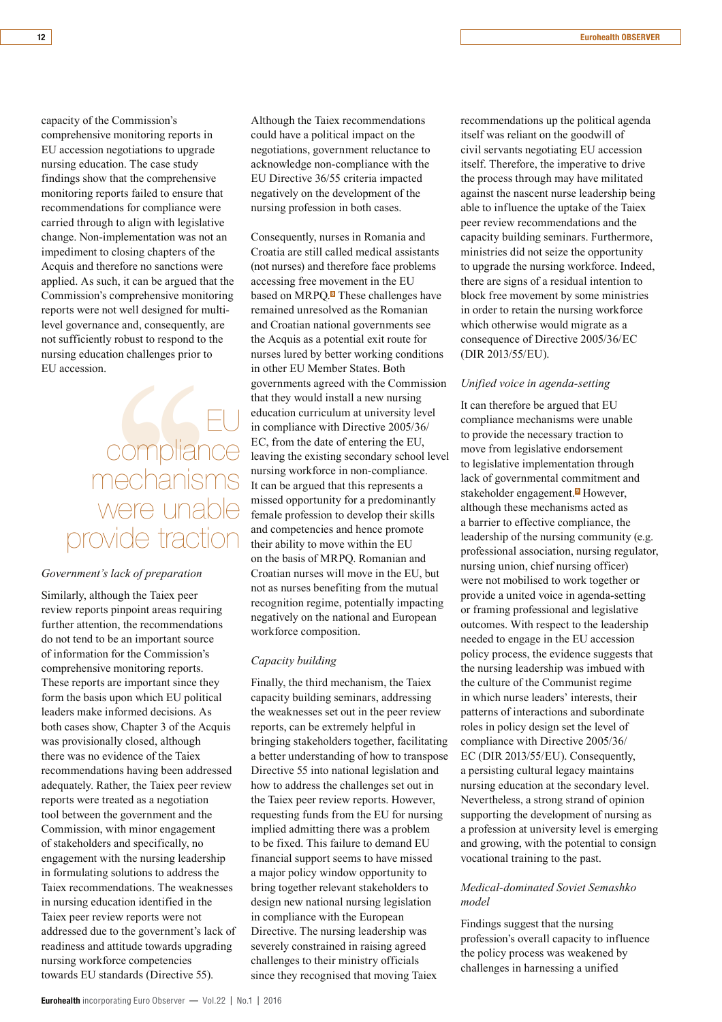capacity of the Commission's comprehensive monitoring reports in EU accession negotiations to upgrade nursing education. The case study findings show that the comprehensive monitoring reports failed to ensure that recommendations for compliance were carried through to align with legislative change. Non-implementation was not an impediment to closing chapters of the Acquis and therefore no sanctions were applied. As such, it can be argued that the Commission's comprehensive monitoring reports were not well designed for multilevel governance and, consequently, are not sufficiently robust to respond to the nursing education challenges prior to EU accession

## n.<br>
compliance<br>
mechanisms<br>
were unable<br>
wide traction<br>
wide traction<br>
though the Taiex peer<br>
ts pinpoint areas requiring compliance mechanisms were unable provide traction

#### Government's lack of preparation

Similarly, although the Taiex peer review reports pinpoint areas requiring further attention, the recommendations do not tend to be an important source of information for the Commission's comprehensive monitoring reports. These reports are important since they form the basis upon which EU political leaders make informed decisions. As both cases show, Chapter 3 of the Acquis was provisionally closed, although there was no evidence of the Taiex recommendations having been addressed adequately. Rather, the Taiex peer review reports were treated as a negotiation tool between the government and the Commission, with minor engagement of stakeholders and specifically, no engagement with the nursing leadership in formulating solutions to address the Taiex recommendations. The weaknesses in nursing education identified in the Taiex peer review reports were not addressed due to the government's lack of readiness and attitude towards upgrading nursing workforce competencies towards EU standards (Directive 55).

Although the Taiex recommendations could have a political impact on the negotiations, government reluctance to acknowledge non-compliance with the EU Directive 36/55 criteria impacted negatively on the development of the nursing profession in both cases.

Consequently, nurses in Romania and Croatia are still called medical assistants (not nurses) and therefore face problems accessing free movement in the EU based on MRPO.<sup>8</sup> These challenges have remained unresolved as the Romanian and Croatian national governments see the Acquis as a potential exit route for nurses lured by better working conditions in other EU Member States. Both governments agreed with the Commission that they would install a new nursing education curriculum at university level in compliance with Directive 2005/36/ EC, from the date of entering the EU, leaving the existing secondary school level nursing workforce in non-compliance. It can be argued that this represents a missed opportunity for a predominantly female profession to develop their skills and competencies and hence promote their ability to move within the EU on the basis of MRPO. Romanian and Croatian nurses will move in the EU, but not as nurses benefiting from the mutual recognition regime, potentially impacting negatively on the national and European workforce composition.

#### Capacity building

Finally, the third mechanism, the Taiex capacity building seminars, addressing the weaknesses set out in the peer review reports, can be extremely helpful in bringing stakeholders together, facilitating a better understanding of how to transpose Directive 55 into national legislation and how to address the challenges set out in the Taiex peer review reports. However, requesting funds from the EU for nursing implied admitting there was a problem to be fixed. This failure to demand EU financial support seems to have missed a major policy window opportunity to bring together relevant stakeholders to design new national nursing legislation in compliance with the European Directive. The nursing leadership was severely constrained in raising agreed challenges to their ministry officials since they recognised that moving Taiex

recommendations up the political agenda itself was reliant on the goodwill of civil servants negotiating EU accession itself. Therefore, the imperative to drive the process through may have militated against the nascent nurse leadership being able to influence the uptake of the Taiex peer review recommendations and the capacity building seminars. Furthermore, ministries did not seize the opportunity to upgrade the nursing workforce. Indeed, there are signs of a residual intention to block free movement by some ministries in order to retain the nursing workforce which otherwise would migrate as a consequence of Directive 2005/36/EC (DIR 2013/55/EU).

#### *<i>Unified voice in agenda-setting*

It can therefore be argued that EU compliance mechanisms were unable to provide the necessary traction to move from legislative endorsement to legislative implementation through lack of governmental commitment and stakeholder engagement.<sup>D</sup> However, although these mechanisms acted as a barrier to effective compliance, the leadership of the nursing community (e.g. professional association, nursing regulator, nursing union, chief nursing officer) were not mobilised to work together or provide a united voice in agenda-setting or framing professional and legislative outcomes. With respect to the leadership needed to engage in the EU accession policy process, the evidence suggests that the nursing leadership was imbued with the culture of the Communist regime in which nurse leaders' interests, their natterns of interactions and subordinate roles in policy design set the level of compliance with Directive 2005/36/  $EC$  (DIR 2013/55/EU). Consequently, a persisting cultural legacy maintains nursing education at the secondary level. Nevertheless, a strong strand of opinion supporting the development of nursing as a profession at university level is emerging and growing, with the potential to consign yocational training to the past.

#### *Medical-dominated Soviet Semashko*  $model$

Findings suggest that the nursing profession's overall capacity to influence the policy process was weakened by challenges in harnessing a unified